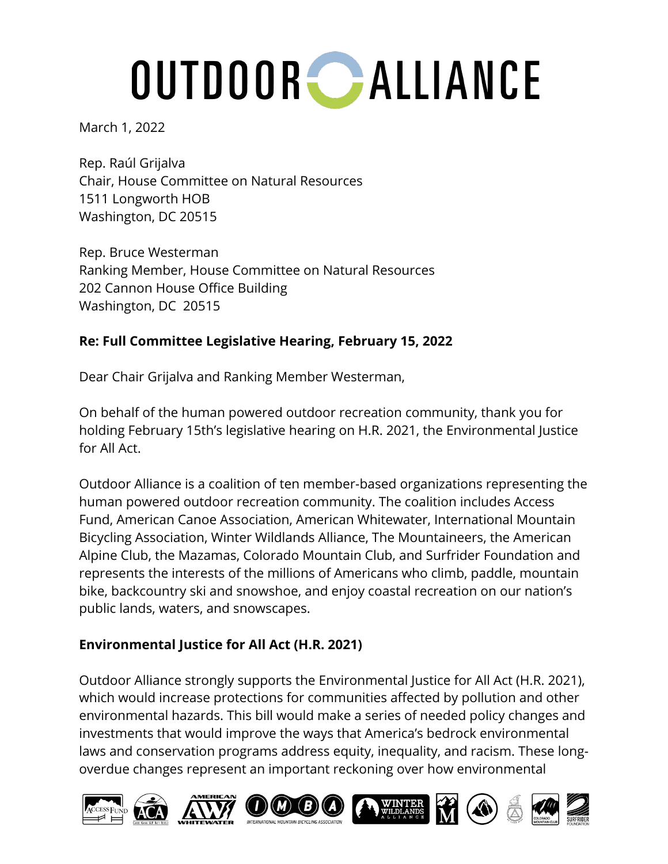March 1, 2022

Rep. Raúl Grijalva Chair, House Committee on Natural Resources 1511 Longworth HOB Washington, DC 20515

Rep. Bruce Westerman Ranking Member, House Committee on Natural Resources 202 Cannon House Office Building Washington, DC 20515

### **Re: Full Committee Legislative Hearing, February 15, 2022**

Dear Chair Grijalva and Ranking Member Westerman,

On behalf of the human powered outdoor recreation community, thank you for holding February 15th's legislative hearing on H.R. 2021, the Environmental Justice for All Act.

Outdoor Alliance is a coalition of ten member-based organizations representing the human powered outdoor recreation community. The coalition includes Access Fund, American Canoe Association, American Whitewater, International Mountain Bicycling Association, Winter Wildlands Alliance, The Mountaineers, the American Alpine Club, the Mazamas, Colorado Mountain Club, and Surfrider Foundation and represents the interests of the millions of Americans who climb, paddle, mountain bike, backcountry ski and snowshoe, and enjoy coastal recreation on our nation's public lands, waters, and snowscapes.

### **Environmental Justice for All Act (H.R. 2021)**

Outdoor Alliance strongly supports the Environmental Justice for All Act (H.R. 2021), which would increase protections for communities affected by pollution and other environmental hazards. This bill would make a series of needed policy changes and investments that would improve the ways that America's bedrock environmental laws and conservation programs address equity, inequality, and racism. These longoverdue changes represent an important reckoning over how environmental

 $\overline{\bm{z}}$ 

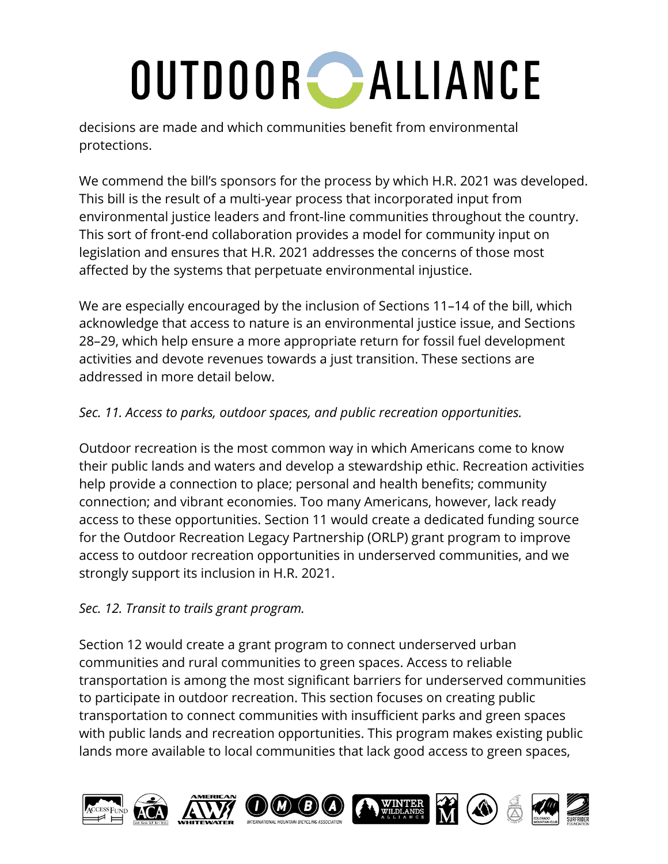decisions are made and which communities benefit from environmental protections.

We commend the bill's sponsors for the process by which H.R. 2021 was developed. This bill is the result of a multi-year process that incorporated input from environmental justice leaders and front-line communities throughout the country. This sort of front-end collaboration provides a model for community input on legislation and ensures that H.R. 2021 addresses the concerns of those most affected by the systems that perpetuate environmental injustice.

We are especially encouraged by the inclusion of Sections 11–14 of the bill, which acknowledge that access to nature is an environmental justice issue, and Sections 28–29, which help ensure a more appropriate return for fossil fuel development activities and devote revenues towards a just transition. These sections are addressed in more detail below.

### *Sec. 11. Access to parks, outdoor spaces, and public recreation opportunities.*

Outdoor recreation is the most common way in which Americans come to know their public lands and waters and develop a stewardship ethic. Recreation activities help provide a connection to place; personal and health benefits; community connection; and vibrant economies. Too many Americans, however, lack ready access to these opportunities. Section 11 would create a dedicated funding source for the Outdoor Recreation Legacy Partnership (ORLP) grant program to improve access to outdoor recreation opportunities in underserved communities, and we strongly support its inclusion in H.R. 2021.

#### *Sec. 12. Transit to trails grant program.*

Section 12 would create a grant program to connect underserved urban communities and rural communities to green spaces. Access to reliable transportation is among the most significant barriers for underserved communities to participate in outdoor recreation. This section focuses on creating public transportation to connect communities with insufficient parks and green spaces with public lands and recreation opportunities. This program makes existing public lands more available to local communities that lack good access to green spaces,

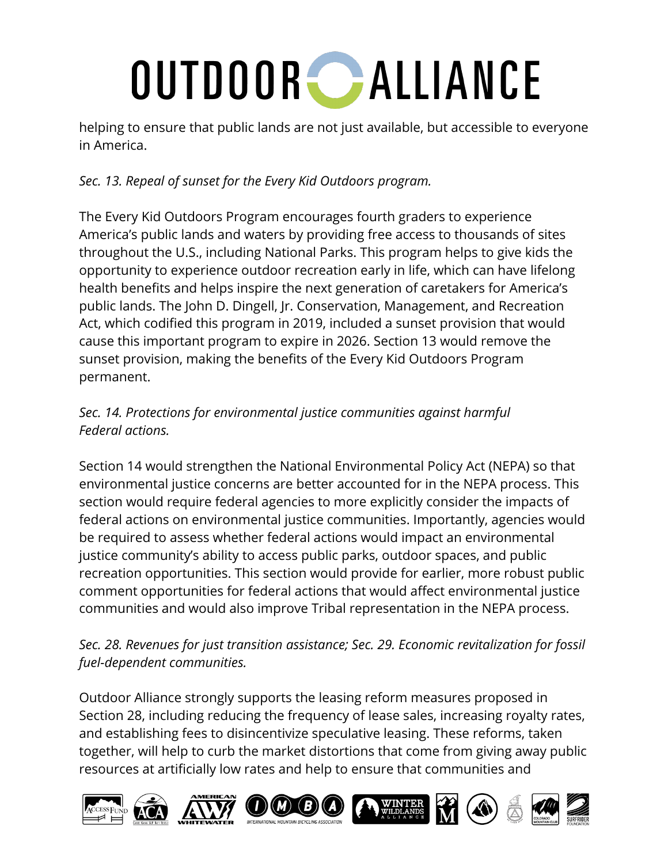helping to ensure that public lands are not just available, but accessible to everyone in America.

## *Sec. 13. Repeal of sunset for the Every Kid Outdoors program.*

The Every Kid Outdoors Program encourages fourth graders to experience America's public lands and waters by providing free access to thousands of sites throughout the U.S., including National Parks. This program helps to give kids the opportunity to experience outdoor recreation early in life, which can have lifelong health benefits and helps inspire the next generation of caretakers for America's public lands. The John D. Dingell, Jr. Conservation, Management, and Recreation Act, which codified this program in 2019, included a sunset provision that would cause this important program to expire in 2026. Section 13 would remove the sunset provision, making the benefits of the Every Kid Outdoors Program permanent.

## *Sec. 14. Protections for environmental justice communities against harmful Federal actions.*

Section 14 would strengthen the National Environmental Policy Act (NEPA) so that environmental justice concerns are better accounted for in the NEPA process. This section would require federal agencies to more explicitly consider the impacts of federal actions on environmental justice communities. Importantly, agencies would be required to assess whether federal actions would impact an environmental justice community's ability to access public parks, outdoor spaces, and public recreation opportunities. This section would provide for earlier, more robust public comment opportunities for federal actions that would affect environmental justice communities and would also improve Tribal representation in the NEPA process.

### *Sec. 28. Revenues for just transition assistance; Sec. 29. Economic revitalization for fossil fuel-dependent communities.*

Outdoor Alliance strongly supports the leasing reform measures proposed in Section 28, including reducing the frequency of lease sales, increasing royalty rates, and establishing fees to disincentivize speculative leasing. These reforms, taken together, will help to curb the market distortions that come from giving away public resources at artificially low rates and help to ensure that communities and

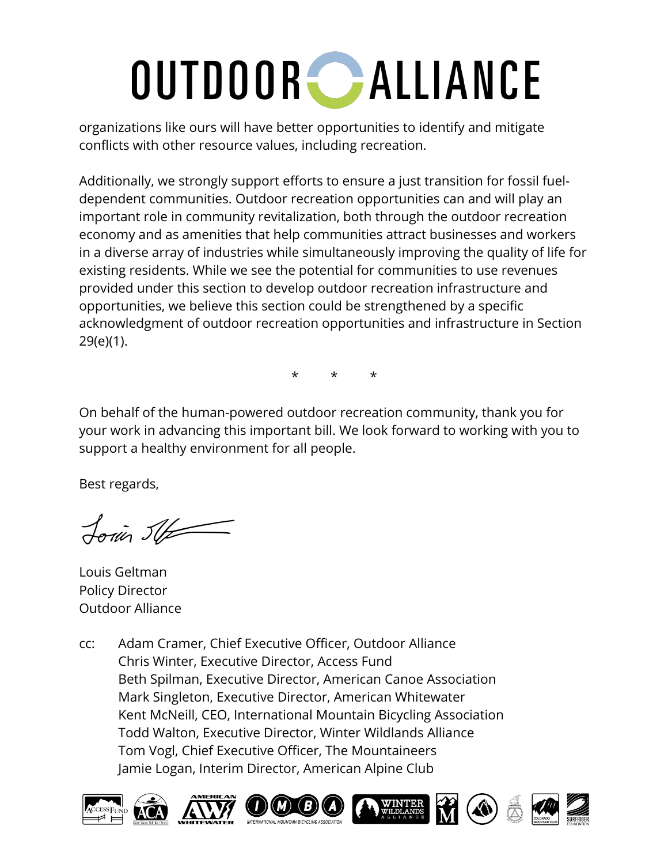organizations like ours will have better opportunities to identify and mitigate conflicts with other resource values, including recreation.

Additionally, we strongly support efforts to ensure a just transition for fossil fueldependent communities. Outdoor recreation opportunities can and will play an important role in community revitalization, both through the outdoor recreation economy and as amenities that help communities attract businesses and workers in a diverse array of industries while simultaneously improving the quality of life for existing residents. While we see the potential for communities to use revenues provided under this section to develop outdoor recreation infrastructure and opportunities, we believe this section could be strengthened by a specific acknowledgment of outdoor recreation opportunities and infrastructure in Section 29(e)(1).

\* \* \*

On behalf of the human-powered outdoor recreation community, thank you for your work in advancing this important bill. We look forward to working with you to support a healthy environment for all people.

Best regards,

Louis SU

Louis Geltman Policy Director Outdoor Alliance

cc: Adam Cramer, Chief Executive Officer, Outdoor Alliance Chris Winter, Executive Director, Access Fund Beth Spilman, Executive Director, American Canoe Association Mark Singleton, Executive Director, American Whitewater Kent McNeill, CEO, International Mountain Bicycling Association Todd Walton, Executive Director, Winter Wildlands Alliance Tom Vogl, Chief Executive Officer, The Mountaineers Jamie Logan, Interim Director, American Alpine Club